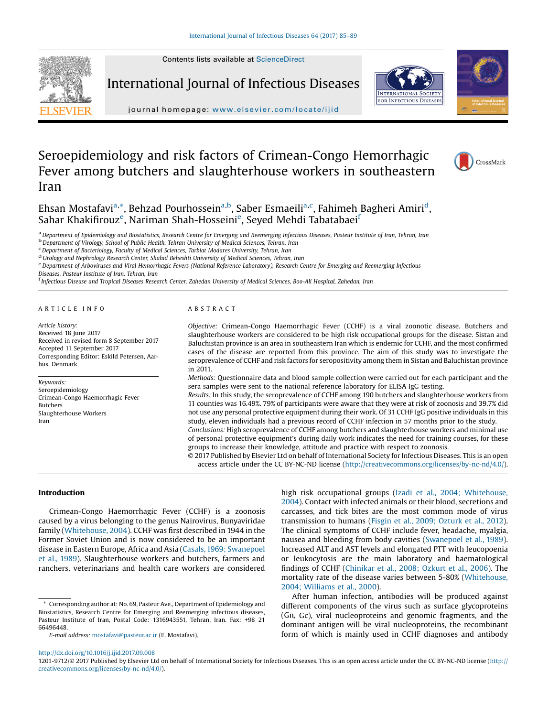Contents lists available at [ScienceDirect](http://www.sciencedirect.com/science/journal/12019712)



International Journal of Infectious Diseases





journal homepage: <www.elsevier.com/locate/ijid>

# Seroepidemiology and risk factors of Crimean-Congo Hemorrhagic Fever among butchers and slaughterhouse workers in southeastern Iran



Ehsan Mostafavi<sup>a,</sup>\*, Behzad Pourhossein<sup>a,b</sup>, Saber Esmaeili<sup>a,c</sup>, Fahimeh Bagheri Amiri<sup>d</sup>, Sahar Khakifirouz<sup>e</sup>, Nariman Shah-Hosseini<sup>e</sup>, Seyed Mehdi Tabatabaei<sup>f</sup>

<sup>a</sup> Department of Epidemiology and Biostatistics, Research Centre for Emerging and Reemerging Infectious Diseases, Pasteur Institute of Iran, Tehran, Iran<br><sup>b</sup> Department of Virology, School of Public Health, Tehran Univers

<sup>d</sup> Urology and Nephrology Research Center, Shahid Beheshti University of Medical Sciences, Tehran, Iran<br><sup>e</sup> Department of Arboviruses and Viral Hemorrhagic Fevers (National Reference Laboratory), Research Centre for Emerg

Diseases, Pasteur Institute of Iran, Tehran, Iran<br><sup>f</sup> Infectious Disease and Tropical Diseases Research Center, Zahedan University of Medical Sciences, Boo-Ali Hospital, Zahedan, Iran

#### A R T I C L E I N F O

Article history: Received 18 June 2017 Received in revised form 8 September 2017 Accepted 11 September 2017 Corresponding Editor: Eskild Petersen, Aarhus, Denmark

Keywords: Seroepidemiology Crimean-Congo Haemorrhagic Fever Butchers Slaughterhouse Workers Iran

# A B S T R A C T

Objective: Crimean-Congo Haemorrhagic Fever (CCHF) is a viral zoonotic disease. Butchers and slaughterhouse workers are considered to be high risk occupational groups for the disease. Sistan and Baluchistan province is an area in southeastern Iran which is endemic for CCHF, and the most confirmed cases of the disease are reported from this province. The aim of this study was to investigate the seroprevalence of CCHF and risk factors for seropositivity among them in Sistan and Baluchistan province in 2011.

Methods: Questionnaire data and blood sample collection were carried out for each participant and the sera samples were sent to the national reference laboratory for ELISA IgG testing.

Results: In this study, the seroprevalence of CCHF among 190 butchers and slaughterhouse workers from 11 counties was 16.49%. 79% of participants were aware that they were at risk of zoonosis and 39.7% did not use any personal protective equipment during their work. Of 31 CCHF IgG positive individuals in this study, eleven individuals had a previous record of CCHF infection in 57 months prior to the study.

Conclusions: High seroprevalence of CCHF among butchers and slaughterhouse workers and minimal use of personal protective equipment's during daily work indicates the need for training courses, for these groups to increase their knowledge, attitude and practice with respect to zoonosis.

© 2017 Published by Elsevier Ltd on behalf of International Society for Infectious Diseases. This is an open access article under the CC BY-NC-ND license [\(http://creativecommons.org/licenses/by-nc-nd/4.0/](http://creativecommons.org/licenses/by-nc-nd/4.0/)).

# Introduction

Crimean-Congo Haemorrhagic Fever (CCHF) is a zoonosis caused by a virus belonging to the genus Nairovirus, Bunyaviridae family [\(Whitehouse,](#page-4-0) 2004). CCHF was first described in 1944 in the Former Soviet Union and is now considered to be an important disease in Eastern Europe, Africa and Asia [\(Casals,1969;](#page-3-0) Swanepoel et al., [1989](#page-3-0)). Slaughterhouse workers and butchers, farmers and ranchers, veterinarians and health care workers are considered high risk occupational groups (Izadi et al., 2004; [Whitehouse,](#page-3-0) [2004](#page-3-0)). Contact with infected animals or their blood, secretions and carcasses, and tick bites are the most common mode of virus transmission to humans (Fisgin et al., 2009; [Ozturk](#page-3-0) et al., 2012). The clinical symptoms of CCHF include fever, headache, myalgia, nausea and bleeding from body cavities [\(Swanepoel](#page-4-0) et al., 1989). Increased ALT and AST levels and elongated PTT with leucopoenia or leukocytosis are the main laboratory and haematological findings of CCHF ([Chinikar](#page-3-0) et al., 2008; Ozkurt et al., 2006). The mortality rate of the disease varies between 5-80% [\(Whitehouse,](#page-4-0) 2004; [Williams](#page-4-0) et al., 2000).

After human infection, antibodies will be produced against different components of the virus such as surface glycoproteins (Gn, Gc), viral nucleoproteins and genomic fragments, and the dominant antigen will be viral nucleoproteins, the recombinant form of which is mainly used in CCHF diagnoses and antibody

<http://dx.doi.org/10.1016/j.ijid.2017.09.008>

Corresponding author at: No. 69, Pasteur Ave., Department of Epidemiology and Biostatistics, Research Centre for Emerging and Reemerging infectious diseases, Pasteur Institute of Iran, Postal Code: 1316943551, Tehran, Iran. Fax: +98 21 66496448.

E-mail address: [mostafavi@pasteur.ac.ir](mailto:mostafavi@pasteur.ac.ir) (E. Mostafavi).

<sup>1201-9712/©</sup> 2017 Published by Elsevier Ltd on behalf of International Society for Infectious Diseases. This is an open access article under the CC BY-NC-ND license ([http://](http://creativecommons.org/licenses/by-nc-nd/4.0/) [creativecommons.org/licenses/by-nc-nd/4.0/\)](http://creativecommons.org/licenses/by-nc-nd/4.0/).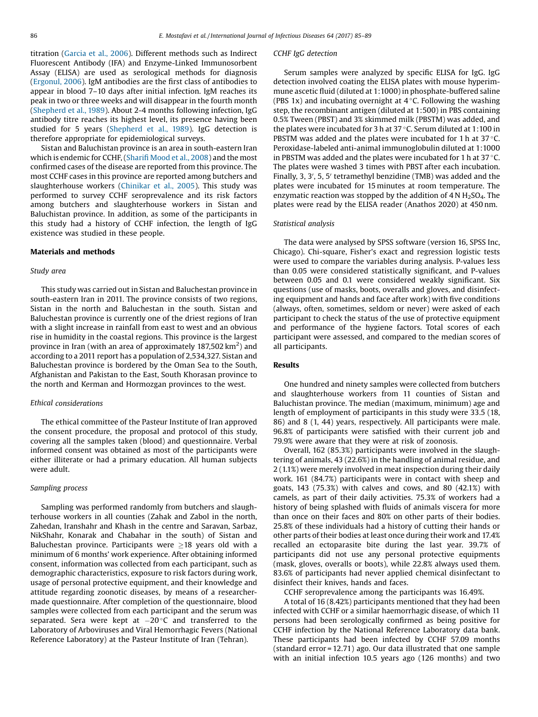titration [\(Garcia](#page-3-0) et al., 2006). Different methods such as Indirect Fluorescent Antibody (IFA) and Enzyme-Linked Immunosorbent Assay (ELISA) are used as serological methods for diagnosis ([Ergonul,](#page-3-0) 2006). IgM antibodies are the first class of antibodies to appear in blood 7–10 days after initial infection. IgM reaches its peak in two or three weeks and will disappear in the fourth month ([Shepherd](#page-4-0) et al., 1989). About 2-4 months following infection, IgG antibody titre reaches its highest level, its presence having been studied for 5 years [\(Shepherd](#page-4-0) et al., 1989). IgG detection is therefore appropriate for epidemiological surveys.

Sistan and Baluchistan province is an area in south-eastern Iran which is endemic for CCHF, (Sharifi [Mood](#page-4-0) et al., 2008) and the most confirmed cases of the disease are reported from this province. The most CCHF cases in this province are reported among butchers and slaughterhouse workers [\(Chinikar](#page-3-0) et al., 2005). This study was performed to survey CCHF seroprevalence and its risk factors among butchers and slaughterhouse workers in Sistan and Baluchistan province. In addition, as some of the participants in this study had a history of CCHF infection, the length of IgG existence was studied in these people.

#### Materials and methods

#### Study area

This study was carried out in Sistan and Baluchestan province in south-eastern Iran in 2011. The province consists of two regions, Sistan in the north and Baluchestan in the south. Sistan and Baluchestan province is currently one of the driest regions of Iran with a slight increase in rainfall from east to west and an obvious rise in humidity in the coastal regions. This province is the largest province in Iran (with an area of approximately 187,502 km<sup>2</sup>) and according to a 2011 report has a population of 2,534,327. Sistan and Baluchestan province is bordered by the Oman Sea to the South, Afghanistan and Pakistan to the East, South Khorasan province to the north and Kerman and Hormozgan provinces to the west.

#### Ethical considerations

The ethical committee of the Pasteur Institute of Iran approved the consent procedure, the proposal and protocol of this study, covering all the samples taken (blood) and questionnaire. Verbal informed consent was obtained as most of the participants were either illiterate or had a primary education. All human subjects were adult.

#### Sampling process

Sampling was performed randomly from butchers and slaughterhouse workers in all counties (Zahak and Zabol in the north, Zahedan, Iranshahr and Khash in the centre and Saravan, Sarbaz, NikShahr, Konarak and Chabahar in the south) of Sistan and Baluchestan province. Participants were  $\geq$ 18 years old with a minimum of 6 months' work experience. After obtaining informed consent, information was collected from each participant, such as demographic characteristics, exposure to risk factors during work, usage of personal protective equipment, and their knowledge and attitude regarding zoonotic diseases, by means of a researchermade questionnaire. After completion of the questionnaire, blood samples were collected from each participant and the serum was separated. Sera were kept at  $-20$  °C and transferred to the Laboratory of Arboviruses and Viral Hemorrhagic Fevers (National Reference Laboratory) at the Pasteur Institute of Iran (Tehran).

# CCHF IgG detection

Serum samples were analyzed by specific ELISA for IgG. IgG detection involved coating the ELISA plates with mouse hyperimmune ascetic fluid (diluted at 1:1000) in phosphate-buffered saline (PBS 1x) and incubating overnight at  $4^{\circ}$ C. Following the washing step, the recombinant antigen (diluted at 1:500) in PBS containing 0.5% Tween (PBST) and 3% skimmed milk (PBSTM) was added, and the plates were incubated for 3 h at 37  $\degree$ C. Serum diluted at 1:100 in PBSTM was added and the plates were incubated for 1 h at  $37^{\circ}$ C. Peroxidase-labeled anti-animal immunoglobulin diluted at 1:1000 in PBSTM was added and the plates were incubated for 1 h at 37 $\degree$ C. The plates were washed 3 times with PBST after each incubation. Finally, 3, 3', 5, 5' tetramethyl benzidine (TMB) was added and the plates were incubated for 15 minutes at room temperature. The enzymatic reaction was stopped by the addition of  $4 \text{ N H}_2\text{SO}_4$ . The plates were read by the ELISA reader (Anathos 2020) at 450 nm.

#### Statistical analysis

The data were analysed by SPSS software (version 16, SPSS Inc, Chicago). Chi-square, Fisher's exact and regression logistic tests were used to compare the variables during analysis. P-values less than 0.05 were considered statistically significant, and P-values between 0.05 and 0.1 were considered weakly significant. Six questions (use of masks, boots, overalls and gloves, and disinfecting equipment and hands and face after work) with five conditions (always, often, sometimes, seldom or never) were asked of each participant to check the status of the use of protective equipment and performance of the hygiene factors. Total scores of each participant were assessed, and compared to the median scores of all participants.

### Results

One hundred and ninety samples were collected from butchers and slaughterhouse workers from 11 counties of Sistan and Baluchistan province. The median (maximum, minimum) age and length of employment of participants in this study were 33.5 (18, 86) and 8 (1, 44) years, respectively. All participants were male. 96.8% of participants were satisfied with their current job and 79.9% were aware that they were at risk of zoonosis.

Overall, 162 (85.3%) participants were involved in the slaughtering of animals, 43 (22.6%) in the handling of animal residue, and 2 (1.1%) were merely involved in meat inspection during their daily work. 161 (84.7%) participants were in contact with sheep and goats, 143 (75.3%) with calves and cows, and 80 (42.1%) with camels, as part of their daily activities. 75.3% of workers had a history of being splashed with fluids of animals viscera for more than once on their faces and 80% on other parts of their bodies. 25.8% of these individuals had a history of cutting their hands or other parts of their bodies at least once during their work and 17.4% recalled an ectoparasite bite during the last year. 39.7% of participants did not use any personal protective equipments (mask, gloves, overalls or boots), while 22.8% always used them. 83.6% of participants had never applied chemical disinfectant to disinfect their knives, hands and faces.

CCHF seroprevalence among the participants was 16.49%.

A total of 16 (8.42%) participants mentioned that they had been infected with CCHF or a similar haemorrhagic disease, of which 11 persons had been serologically confirmed as being positive for CCHF infection by the National Reference Laboratory data bank. These participants had been infected by CCHF 57.09 months (standard error = 12.71) ago. Our data illustrated that one sample with an initial infection 10.5 years ago (126 months) and two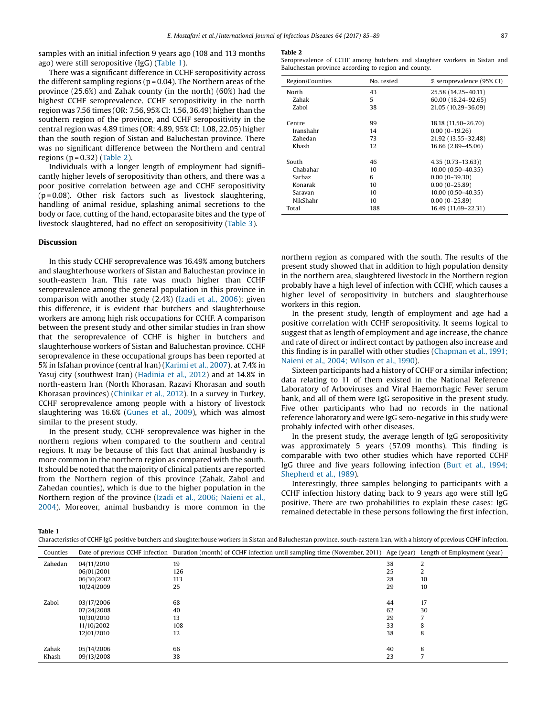samples with an initial infection 9 years ago (108 and 113 months ago) were still seropositive (IgG) (Table 1).

There was a significant difference in CCHF seropositivity across the different sampling regions ( $p = 0.04$ ). The Northern areas of the province (25.6%) and Zahak county (in the north) (60%) had the highest CCHF seroprevalence. CCHF seropositivity in the north region was 7.56 times (OR: 7.56, 95% CI: 1.56, 36.49) higher than the southern region of the province, and CCHF seropositivity in the central region was 4.89 times (OR: 4.89, 95% CI: 1.08, 22.05) higher than the south region of Sistan and Baluchestan province. There was no significant difference between the Northern and central regions ( $p = 0.32$ ) (Table 2).

Individuals with a longer length of employment had significantly higher levels of seropositivity than others, and there was a poor positive correlation between age and CCHF seropositivity  $(p = 0.08)$ . Other risk factors such as livestock slaughtering, handling of animal residue, splashing animal secretions to the body or face, cutting of the hand, ectoparasite bites and the type of livestock slaughtered, had no effect on seropositivity [\(Table](#page-3-0) 3).

### Discussion

In this study CCHF seroprevalence was 16.49% among butchers and slaughterhouse workers of Sistan and Baluchestan province in south-eastern Iran. This rate was much higher than CCHF seroprevalence among the general population in this province in comparison with another study (2.4%) (Izadi et al., [2006](#page-3-0)); given this difference, it is evident that butchers and slaughterhouse workers are among high risk occupations for CCHF. A comparison between the present study and other similar studies in Iran show that the seroprevalence of CCHF is higher in butchers and slaughterhouse workers of Sistan and Baluchestan province. CCHF seroprevalence in these occupational groups has been reported at 5% in Isfahan province (central Iran) ([Karimi](#page-4-0) et al., 2007), at 7.4% in Yasuj city (southwest Iran) ([Hadinia](#page-3-0) et al., 2012) and at 14.8% in north-eastern Iran (North Khorasan, Razavi Khorasan and south Khorasan provinces) [\(Chinikar](#page-3-0) et al., 2012). In a survey in Turkey, CCHF seroprevalence among people with a history of livestock slaughtering was 16.6% [\(Gunes](#page-3-0) et al., 2009), which was almost similar to the present study.

In the present study, CCHF seroprevalence was higher in the northern regions when compared to the southern and central regions. It may be because of this fact that animal husbandry is more common in the northern region as compared with the south. It should be noted that the majority of clinical patients are reported from the Northern region of this province (Zahak, Zabol and Zahedan counties), which is due to the higher population in the Northern region of the province (Izadi et al., 2006; [Naieni](#page-3-0) et al., [2004](#page-3-0)). Moreover, animal husbandry is more common in the

#### Table 2

Seroprevalence of CCHF among butchers and slaughter workers in Sistan and Baluchestan province according to region and county.

| Region/Counties | No. tested | % seroprevalence (95% CI) |
|-----------------|------------|---------------------------|
| North           | 43         | 25.58 (14.25-40.11)       |
| Zahak           | 5          | 60.00 (18.24-92.65)       |
| Zabol           | 38         | 21.05 (10.29-36.09)       |
|                 |            |                           |
| Centre          | 99         | 18.18 (11.50-26.70)       |
| Iranshahr       | 14         | $0.00(0-19.26)$           |
| Zahedan         | 73         | 21.92 (13.55-32.48)       |
| Khash           | 12         | 16.66 (2.89-45.06)        |
|                 |            |                           |
| South           | 46         | $4.35(0.73 - 13.63)$      |
| Chabahar        | 10         | $10.00(0.50 - 40.35)$     |
| <b>Sarbaz</b>   | 6          | $0.00(0-39.30)$           |
| Konarak         | 10         | $0.00(0-25.89)$           |
| Saravan         | 10         | $10.00(0.50 - 40.35)$     |
| NikShahr        | 10         | $0.00(0-25.89)$           |
| Total           | 188        | 16.49 (11.69-22.31)       |

northern region as compared with the south. The results of the present study showed that in addition to high population density in the northern area, slaughtered livestock in the Northern region probably have a high level of infection with CCHF, which causes a higher level of seropositivity in butchers and slaughterhouse workers in this region.

In the present study, length of employment and age had a positive correlation with CCHF seropositivity. It seems logical to suggest that as length of employment and age increase, the chance and rate of direct or indirect contact by pathogen also increase and this finding is in parallel with other studies ([Chapman](#page-3-0) et al., 1991; Naieni et al., 2004; [Wilson](#page-3-0) et al., 1990).

Sixteen participants had a history of CCHF or a similar infection; data relating to 11 of them existed in the National Reference Laboratory of Arboviruses and Viral Haemorrhagic Fever serum bank, and all of them were IgG seropositive in the present study. Five other participants who had no records in the national reference laboratory and were IgG sero-negative in this study were probably infected with other diseases.

In the present study, the average length of IgG seropositivity was approximately 5 years (57.09 months). This finding is comparable with two other studies which have reported CCHF IgG three and five years following infection (Burt et al., [1994;](#page-3-0) [Shepherd](#page-3-0) et al., 1989).

Interestingly, three samples belonging to participants with a CCHF infection history dating back to 9 years ago were still IgG positive. There are two probabilities to explain these cases: IgG remained detectable in these persons following the first infection,

Table 1

| Characteristics of CCHF IgG positive butchers and slaughterhouse workers in Sistan and Baluchestan province, south-eastern Iran, with a history of previous CCHF infection |            |                                                                                                                                                |    |    |  |  |
|----------------------------------------------------------------------------------------------------------------------------------------------------------------------------|------------|------------------------------------------------------------------------------------------------------------------------------------------------|----|----|--|--|
| Counties                                                                                                                                                                   |            | Date of previous CCHF infection Duration (month) of CCHF infection until sampling time (November, 2011) Age (year) Length of Employment (year) |    |    |  |  |
| Zahedan                                                                                                                                                                    | 04/11/2010 | 19                                                                                                                                             | 38 |    |  |  |
|                                                                                                                                                                            | 06/01/2001 | 126                                                                                                                                            | 25 |    |  |  |
|                                                                                                                                                                            | 06/30/2002 | 113                                                                                                                                            | 28 | 10 |  |  |
|                                                                                                                                                                            | 10/24/2009 | 25                                                                                                                                             | 29 | 10 |  |  |
| Zabol                                                                                                                                                                      | 03/17/2006 | 68                                                                                                                                             | 44 | 17 |  |  |
|                                                                                                                                                                            | 07/24/2008 | 40                                                                                                                                             | 62 | 30 |  |  |
|                                                                                                                                                                            | 10/30/2010 | 13                                                                                                                                             | 29 |    |  |  |
|                                                                                                                                                                            | 11/10/2002 | 108                                                                                                                                            | 33 | 8  |  |  |
|                                                                                                                                                                            | 12/01/2010 | 12                                                                                                                                             | 38 | 8  |  |  |
| Zahak                                                                                                                                                                      | 05/14/2006 | 66                                                                                                                                             | 40 | 8  |  |  |
| Khash                                                                                                                                                                      | 09/13/2008 | 38                                                                                                                                             | 23 |    |  |  |
|                                                                                                                                                                            |            |                                                                                                                                                |    |    |  |  |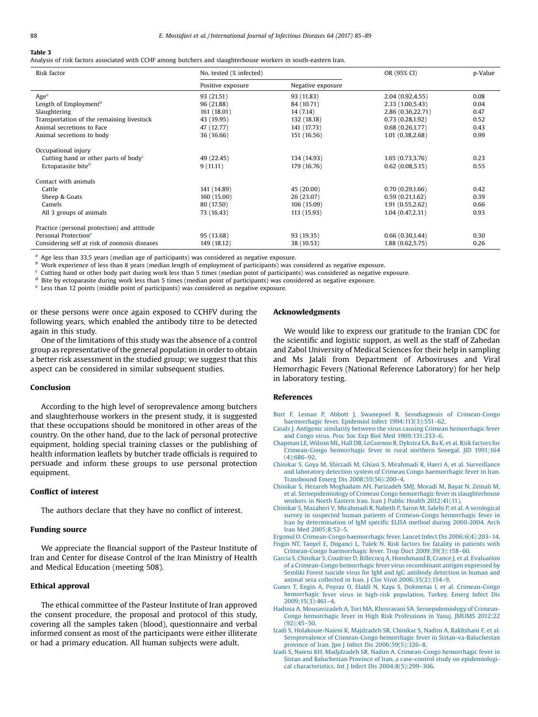# <span id="page-3-0"></span>Table 3

Analysis of risk factors associated with CCHF among butchers and slaughterhouse workers in south-eastern Iran.

| Risk factor                                                   | No. tested (% infected) |                   | OR (95% CI)       | p-Value |
|---------------------------------------------------------------|-------------------------|-------------------|-------------------|---------|
|                                                               | Positive exposure       | Negative exposure |                   |         |
| Age <sup>a</sup>                                              | 93 (21.51)              | 93 (11.83)        | 2.04(0.92, 4.55)  | 0.08    |
| Length of Employment <sup>b</sup>                             | 96 (21.88)              | 84 (10.71)        | 2.33 (1.00,5.43)  | 0.04    |
| Slaughtering                                                  | 161 (18.01)             | 14(7.14)          | 2.86 (0.36,22.71) | 0.47    |
| Transportation of the remaining livestock                     | 43 (19.95)              | 132 (18.18)       | 0.73(0.28, 1.92)  | 0.52    |
| Animal secretions to Face                                     | 47 (12.77)              | 141 (17.73)       | 0.68(0.26, 1.77)  | 0.43    |
| Animal secretions to body                                     | 36 (16.66)              | 151 (16.56)       | 1.01(0.38, 2.68)  | 0.99    |
| Occupational injury                                           |                         |                   |                   |         |
| Cutting hand or other parts of body <sup><math>c</math></sup> | 49 (22.45)              | 134 (14.93)       | 1.65(0.73, 3.76)  | 0.23    |
| Ectoparasite bite <sup>d</sup>                                | 9(11.11)                | 179 (16.76)       | 0.62(0.08, 5.15)  | 0.55    |
| Contact with animals                                          |                         |                   |                   |         |
| Cattle                                                        | 141 (14.89)             | 45 (20.00)        | 0.70(0.29,1.66)   | 0.42    |
| Sheep & Goats                                                 | 160 (15.00)             | 26 (23.07)        | 0.59(0.21, 1.62)  | 0.39    |
| Camels                                                        | 80 (17.50)              | 106 (15.09)       | 1.91(0.55, 2.62)  | 0.66    |
| All 3 groups of animals                                       | 73 (16.43)              | 113 (15.93)       | 1.04(0.47, 2.31)  | 0.93    |
| Practice (personal protection) and attitude                   |                         |                   |                   |         |
| Personal Protection <sup>e</sup>                              | 95 (13.68)              | 93 (19.35)        | 0.66(0.30, 1.44)  | 0.30    |
| Considering self at risk of zoonosis diseases                 | 149 (18.12)             | 38 (10.53)        | 1.88(0.62, 5.75)  | 0.26    |

<sup>a</sup> Age less than 33.5 years (median age of participants) was considered as negative exposure.

<sup>b</sup> Work experience of less than 8 years (median length of employment of participants) was considered as negative exposure.

 $c$  Cutting hand or other body part during work less than 5 times (median point of participants) was considered as negative exposure.

<sup>d</sup> Bite by ectoparasite during work less than 5 times (median point of participants) was considered as negative exposure.

<sup>e</sup> Less than 12 points (middle point of participants) was considered as negative exposure.

or these persons were once again exposed to CCHFV during the following years, which enabled the antibody titre to be detected again in this study.

One of the limitations of this study was the absence of a control group as representative of the general population in order to obtain a better risk assessment in the studied group; we suggest that this aspect can be considered in similar subsequent studies.

# Conclusion

According to the high level of seroprevalence among butchers and slaughterhouse workers in the present study, it is suggested that these occupations should be monitored in other areas of the country. On the other hand, due to the lack of personal protective equipment, holding special training classes or the publishing of health information leaflets by butcher trade officials is required to persuade and inform these groups to use personal protection equipment.

## Conflict of interest

The authors declare that they have no conflict of interest.

# Funding source

We appreciate the financial support of the Pasteur Institute of Iran and Center for disease Control of the Iran Ministry of Health and Medical Education (meeting 508).

# Ethical approval

The ethical committee of the Pasteur Institute of Iran approved the consent procedure, the proposal and protocol of this study, covering all the samples taken (blood), questionnaire and verbal informed consent as most of the participants were either illiterate or had a primary education. All human subjects were adult.

#### Acknowledgments

We would like to express our gratitude to the Iranian CDC for the scientific and logistic support, as well as the staff of Zahedan and Zabol University of Medical Sciences for their help in sampling and Ms Jalali from Department of Arboviruses and Viral Hemorrhagic Fevers (National Reference Laboratory) for her help in laboratory testing.

#### References

- Burt F, Leman P, Abbott J, Swanepoel R. Serodiagnosis of [Crimean-Congo](http://refhub.elsevier.com/S1201-9712(17)30232-1/sbref0005) haemorrhagic fever. Epidemiol Infect [1994;113\(3\):551](http://refhub.elsevier.com/S1201-9712(17)30232-1/sbref0005)–62.
- Casals J. Antigenic similarity between the virus causing Crimean [hemorrhagic](http://refhub.elsevier.com/S1201-9712(17)30232-1/sbref0010) fever and Congo virus. Proc Soc Exp Biol Med [1969;131:233](http://refhub.elsevier.com/S1201-9712(17)30232-1/sbref0010)–6.
- Chapman LE, Wilson ML, Hall DB, [LeGuenno](http://refhub.elsevier.com/S1201-9712(17)30232-1/sbref0015) B, Dykstra EA, Ba K, et al. Risk factors for [Crimean-Congo](http://refhub.elsevier.com/S1201-9712(17)30232-1/sbref0015) hemorrhagic fever in rural northern Senegal. JID 1991;164 [\(4\):686](http://refhub.elsevier.com/S1201-9712(17)30232-1/sbref0015)–92.
- Chinikar S, Goya M, Shirzadi M, Ghiasi S, Mirahmadi R, Haeri A, et al. [Surveillance](http://refhub.elsevier.com/S1201-9712(17)30232-1/sbref0020) and laboratory detection system of Crimean Congo [haemorrhagic](http://refhub.elsevier.com/S1201-9712(17)30232-1/sbref0020) fever in Iran. Transbound Emerg Dis [2008;55\(56\):200](http://refhub.elsevier.com/S1201-9712(17)30232-1/sbref0020)–4.
- Chinikar S, Hezareh [Moghadam](http://refhub.elsevier.com/S1201-9712(17)30232-1/sbref0025) AH, Parizadeh SMJ, Moradi M, Bayat N, Zeinali M, et al. [Seroepidemiology](http://refhub.elsevier.com/S1201-9712(17)30232-1/sbref0025) of Crimean Congo hemorrhagic fever in slaughterhouse workers in North Eastern Iran. Iran J Public Health [2012;41\(11\)](http://refhub.elsevier.com/S1201-9712(17)30232-1/sbref0025).
- Chinikar S, Mazaheri V, [Mirahmadi](http://refhub.elsevier.com/S1201-9712(17)30232-1/sbref0030) R, Nabeth P, Saron M, Salehi P, et al. A serological survey in suspected human patients of [Crimean-Congo](http://refhub.elsevier.com/S1201-9712(17)30232-1/sbref0030) hemorrhagic fever in Iran by [determination](http://refhub.elsevier.com/S1201-9712(17)30232-1/sbref0030) of IgM specific ELISA method during 2000-2004. Arch Iran Med [2005;8:52](http://refhub.elsevier.com/S1201-9712(17)30232-1/sbref0030)–5.
- Ergonul O. [Crimean-Congo](http://refhub.elsevier.com/S1201-9712(17)30232-1/sbref0035) haemorrhagic fever. Lancet Infect Dis 2006;6(4):203–14. Fisgin NT, Tanyel E, Doganci L, Tulek N. Risk factors for fatality in [patients](http://refhub.elsevier.com/S1201-9712(17)30232-1/sbref0040) with Crimean-Congo haemorrhagic fever. Trop Doct [2009;39\(3\):158](http://refhub.elsevier.com/S1201-9712(17)30232-1/sbref0040)–60.
- Garcia S, Chinikar S, Coudrier D, Billecocq A, [Hooshmand](http://refhub.elsevier.com/S1201-9712(17)30232-1/sbref0045) B, Crance J, et al. Evaluation of a [Crimean-Congo](http://refhub.elsevier.com/S1201-9712(17)30232-1/sbref0045) hemorrhagic fever virus recombinant antigen expressed by Semliki Forest suicide virus for IgM and IgG antibody [detection](http://refhub.elsevier.com/S1201-9712(17)30232-1/sbref0045) in human and animal sera collected in Iran. J Clin Virol [2006;35\(2\):154](http://refhub.elsevier.com/S1201-9712(17)30232-1/sbref0045)–9.
- Gunes T, Engin A, Poyraz O, Elaldi N, Kaya S, Dokmetas I, et al. [Crimean-Congo](http://refhub.elsevier.com/S1201-9712(17)30232-1/sbref0050) [hemorrhagic](http://refhub.elsevier.com/S1201-9712(17)30232-1/sbref0050) fever virus in high-risk population, Turkey. Emerg Infect Dis [2009;15\(3\):461](http://refhub.elsevier.com/S1201-9712(17)30232-1/sbref0050)–4.
- Hadinia A, Mousavizadeh A, Tori MA, Khosravani SA. [Seroepidemiology](http://refhub.elsevier.com/S1201-9712(17)30232-1/sbref0055) of Crimean-Congo [hemorrhagic](http://refhub.elsevier.com/S1201-9712(17)30232-1/sbref0055) fever in High Risk Professions in Yasuj. JMUMS 2012;22 [\(92\):45](http://refhub.elsevier.com/S1201-9712(17)30232-1/sbref0055)–50.
- Izadi S, [Holakouie-Naieni](http://refhub.elsevier.com/S1201-9712(17)30232-1/sbref0060) K, Majdzadeh SR, Chinikar S, Nadim A, Rakhshani F, et al. Seroprevalence of Crimean-Congo hemorrhagic fever in [Sistan-va-Baluchestan](http://refhub.elsevier.com/S1201-9712(17)30232-1/sbref0060) province of Iran. Jpn J Infect Dis [2006;59\(5\):326](http://refhub.elsevier.com/S1201-9712(17)30232-1/sbref0060)–8.
- Izadi S, Naieni KH, Madjdzadeh SR, Nadim A. [Crimean-Congo](http://refhub.elsevier.com/S1201-9712(17)30232-1/sbref0065) hemorrhagic fever in Sistan and Baluchestan Province of Iran, a case-control study on [epidemiologi](http://refhub.elsevier.com/S1201-9712(17)30232-1/sbref0065)cal [characteristics.](http://refhub.elsevier.com/S1201-9712(17)30232-1/sbref0065) Int J Infect Dis 2004;8(5):299–306.